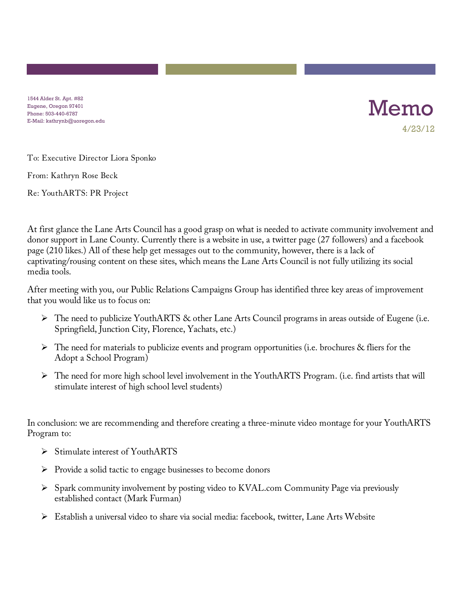1544 Alder St. Apt. #82 Eugene, Oregon 97401 Phone: 503-440-6787 E-Mail: kathrynb@uoregon.edu



To: Executive Director Liora Sponko

From: Kathryn Rose Beck

Re: YouthARTS: PR Project

At first glance the Lane Arts Council has a good grasp on what is needed to activate community involvement and donor support in Lane County. Currently there is a website in use, a twitter page (27 followers) and a facebook page (210 likes.) All of these help get messages out to the community, however, there is a lack of captivating/rousing content on these sites, which means the Lane Arts Council is not fully utilizing its social media tools.

After meeting with you, our Public Relations Campaigns Group has identified three key areas of improvement that you would like us to focus on:

- The need to publicize YouthARTS & other Lane Arts Council programs in areas outside of Eugene (i.e. Springfield, Junction City, Florence, Yachats, etc.)
- $\triangleright$  The need for materials to publicize events and program opportunities (i.e. brochures & fliers for the Adopt a School Program)
- The need for more high school level involvement in the YouthARTS Program. (i.e. find artists that will stimulate interest of high school level students)

In conclusion: we are recommending and therefore creating a three-minute video montage for your YouthARTS Program to:

- $\triangleright$  Stimulate interest of YouthARTS
- $\triangleright$  Provide a solid tactic to engage businesses to become donors
- $\triangleright$  Spark community involvement by posting video to KVAL.com Community Page via previously established contact (Mark Furman)
- $\triangleright$  Establish a universal video to share via social media: facebook, twitter, Lane Arts Website